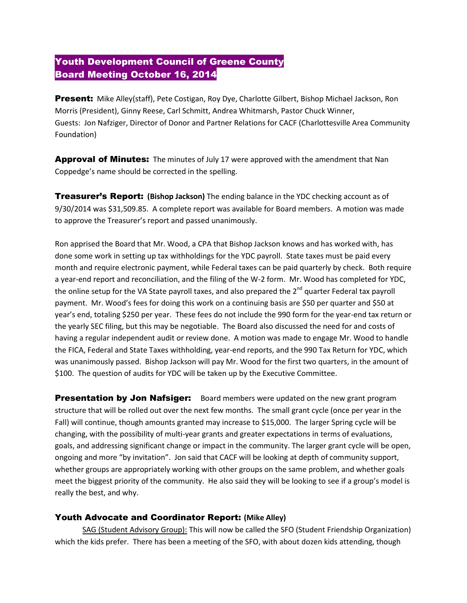## Youth Development Council of Greene County Board Meeting October 16, 2014

Present: Mike Alley(staff), Pete Costigan, Roy Dye, Charlotte Gilbert, Bishop Michael Jackson, Ron Morris (President), Ginny Reese, Carl Schmitt, Andrea Whitmarsh, Pastor Chuck Winner, Guests: Jon Nafziger, Director of Donor and Partner Relations for CACF (Charlottesville Area Community Foundation)

**Approval of Minutes:** The minutes of July 17 were approved with the amendment that Nan Coppedge's name should be corrected in the spelling.

Treasurer's Report: **(Bishop Jackson)** The ending balance in the YDC checking account as of 9/30/2014 was \$31,509.85. A complete report was available for Board members. A motion was made to approve the Treasurer's report and passed unanimously.

Ron apprised the Board that Mr. Wood, a CPA that Bishop Jackson knows and has worked with, has done some work in setting up tax withholdings for the YDC payroll. State taxes must be paid every month and require electronic payment, while Federal taxes can be paid quarterly by check. Both require a year-end report and reconciliation, and the filing of the W-2 form. Mr. Wood has completed for YDC, the online setup for the VA State payroll taxes, and also prepared the  $2^{nd}$  quarter Federal tax payroll payment. Mr. Wood's fees for doing this work on a continuing basis are \$50 per quarter and \$50 at year's end, totaling \$250 per year. These fees do not include the 990 form for the year-end tax return or the yearly SEC filing, but this may be negotiable. The Board also discussed the need for and costs of having a regular independent audit or review done. A motion was made to engage Mr. Wood to handle the FICA, Federal and State Taxes withholding, year-end reports, and the 990 Tax Return for YDC, which was unanimously passed. Bishop Jackson will pay Mr. Wood for the first two quarters, in the amount of \$100. The question of audits for YDC will be taken up by the Executive Committee.

**Presentation by Jon Nafsiger:** Board members were updated on the new grant program structure that will be rolled out over the next few months. The small grant cycle (once per year in the Fall) will continue, though amounts granted may increase to \$15,000. The larger Spring cycle will be changing, with the possibility of multi-year grants and greater expectations in terms of evaluations, goals, and addressing significant change or impact in the community. The larger grant cycle will be open, ongoing and more "by invitation". Jon said that CACF will be looking at depth of community support, whether groups are appropriately working with other groups on the same problem, and whether goals meet the biggest priority of the community. He also said they will be looking to see if a group's model is really the best, and why.

## Youth Advocate and Coordinator Report: **(Mike Alley)**

SAG (Student Advisory Group): This will now be called the SFO (Student Friendship Organization) which the kids prefer. There has been a meeting of the SFO, with about dozen kids attending, though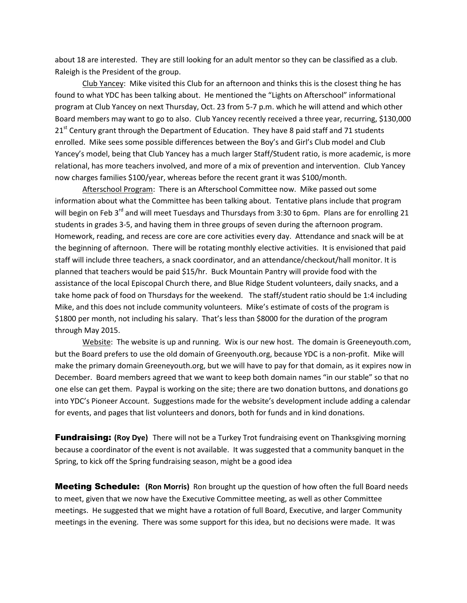about 18 are interested. They are still looking for an adult mentor so they can be classified as a club. Raleigh is the President of the group.

Club Yancey: Mike visited this Club for an afternoon and thinks this is the closest thing he has found to what YDC has been talking about. He mentioned the "Lights on Afterschool" informational program at Club Yancey on next Thursday, Oct. 23 from 5-7 p.m. which he will attend and which other Board members may want to go to also. Club Yancey recently received a three year, recurring, \$130,000  $21<sup>st</sup>$  Century grant through the Department of Education. They have 8 paid staff and 71 students enrolled. Mike sees some possible differences between the Boy's and Girl's Club model and Club Yancey's model, being that Club Yancey has a much larger Staff/Student ratio, is more academic, is more relational, has more teachers involved, and more of a mix of prevention and intervention. Club Yancey now charges families \$100/year, whereas before the recent grant it was \$100/month.

Afterschool Program: There is an Afterschool Committee now. Mike passed out some information about what the Committee has been talking about. Tentative plans include that program will begin on Feb 3<sup>rd</sup> and will meet Tuesdays and Thursdays from 3:30 to 6pm. Plans are for enrolling 21 students in grades 3-5, and having them in three groups of seven during the afternoon program. Homework, reading, and recess are core are core activities every day. Attendance and snack will be at the beginning of afternoon. There will be rotating monthly elective activities. It is envisioned that paid staff will include three teachers, a snack coordinator, and an attendance/checkout/hall monitor. It is planned that teachers would be paid \$15/hr. Buck Mountain Pantry will provide food with the assistance of the local Episcopal Church there, and Blue Ridge Student volunteers, daily snacks, and a take home pack of food on Thursdays for the weekend. The staff/student ratio should be 1:4 including Mike, and this does not include community volunteers. Mike's estimate of costs of the program is \$1800 per month, not including his salary. That's less than \$8000 for the duration of the program through May 2015.

Website: The website is up and running. Wix is our new host. The domain is Greeneyouth.com, but the Board prefers to use the old domain of Greenyouth.org, because YDC is a non-profit. Mike will make the primary domain Greeneyouth.org, but we will have to pay for that domain, as it expires now in December. Board members agreed that we want to keep both domain names "in our stable" so that no one else can get them. Paypal is working on the site; there are two donation buttons, and donations go into YDC's Pioneer Account. Suggestions made for the website's development include adding a calendar for events, and pages that list volunteers and donors, both for funds and in kind donations.

**Fundraising:** (Roy Dye) There will not be a Turkey Trot fundraising event on Thanksgiving morning because a coordinator of the event is not available. It was suggested that a community banquet in the Spring, to kick off the Spring fundraising season, might be a good idea

Meeting Schedule: **(Ron Morris)** Ron brought up the question of how often the full Board needs to meet, given that we now have the Executive Committee meeting, as well as other Committee meetings. He suggested that we might have a rotation of full Board, Executive, and larger Community meetings in the evening. There was some support for this idea, but no decisions were made. It was